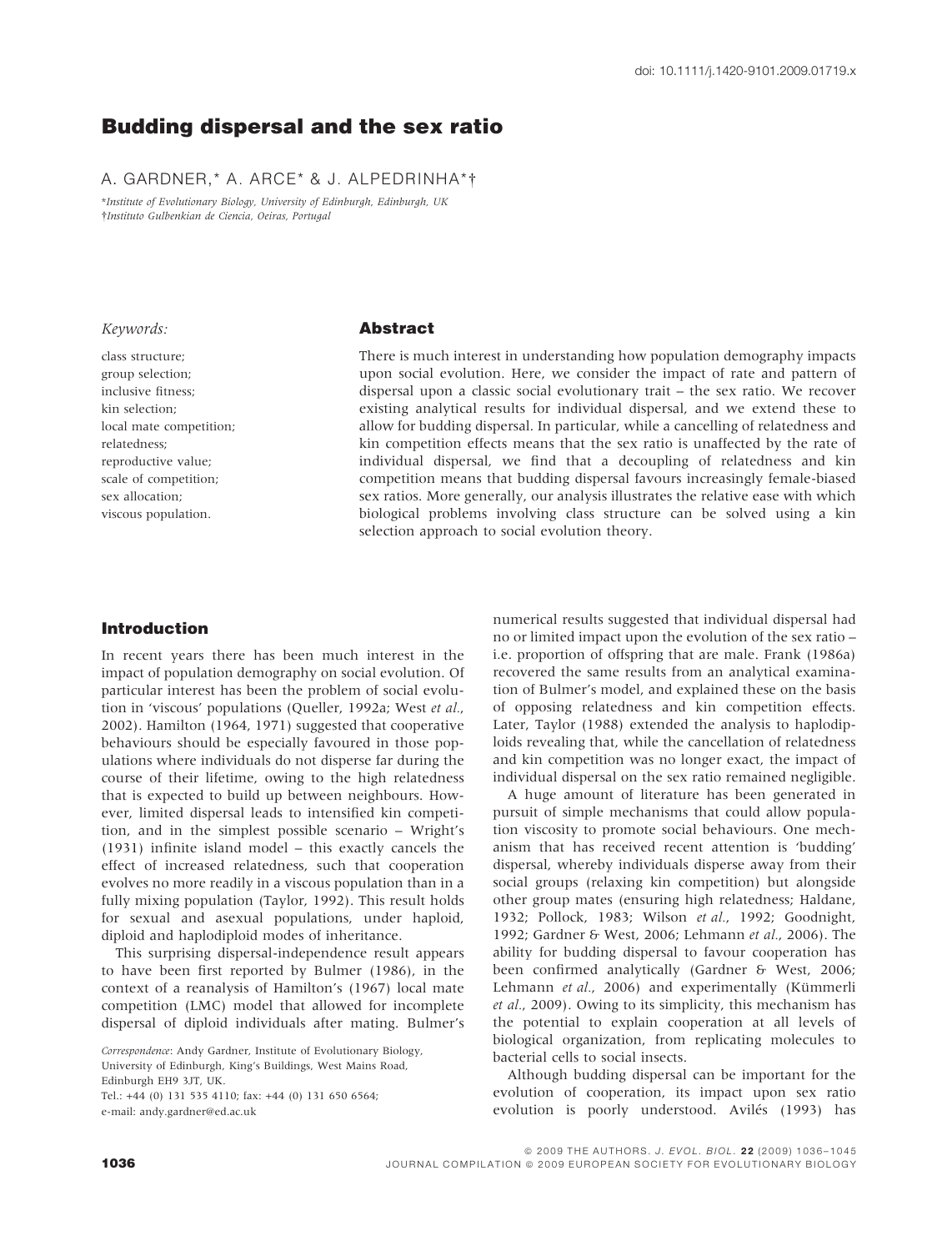# Budding dispersal and the sex ratio

A. GARDNER,\* A. ARCE\* & J. ALPEDRINHA\*-

\*Institute of Evolutionary Biology, University of Edinburgh, Edinburgh, UK -Instituto Gulbenkian de Ciencia, Oeiras, Portugal

## Keywords:

class structure; group selection; inclusive fitness; kin selection; local mate competition; relatedness; reproductive value; scale of competition; sex allocation; viscous population.

### Abstract

There is much interest in understanding how population demography impacts upon social evolution. Here, we consider the impact of rate and pattern of dispersal upon a classic social evolutionary trait – the sex ratio. We recover existing analytical results for individual dispersal, and we extend these to allow for budding dispersal. In particular, while a cancelling of relatedness and kin competition effects means that the sex ratio is unaffected by the rate of individual dispersal, we find that a decoupling of relatedness and kin competition means that budding dispersal favours increasingly female-biased sex ratios. More generally, our analysis illustrates the relative ease with which biological problems involving class structure can be solved using a kin selection approach to social evolution theory.

# Introduction

In recent years there has been much interest in the impact of population demography on social evolution. Of particular interest has been the problem of social evolution in 'viscous' populations (Queller, 1992a; West et al., 2002). Hamilton (1964, 1971) suggested that cooperative behaviours should be especially favoured in those populations where individuals do not disperse far during the course of their lifetime, owing to the high relatedness that is expected to build up between neighbours. However, limited dispersal leads to intensified kin competition, and in the simplest possible scenario – Wright's (1931) infinite island model – this exactly cancels the effect of increased relatedness, such that cooperation evolves no more readily in a viscous population than in a fully mixing population (Taylor, 1992). This result holds for sexual and asexual populations, under haploid, diploid and haplodiploid modes of inheritance.

This surprising dispersal-independence result appears to have been first reported by Bulmer (1986), in the context of a reanalysis of Hamilton's (1967) local mate competition (LMC) model that allowed for incomplete dispersal of diploid individuals after mating. Bulmer's

Tel.: +44 (0) 131 535 4110; fax: +44 (0) 131 650 6564; e-mail: andy.gardner@ed.ac.uk

numerical results suggested that individual dispersal had no or limited impact upon the evolution of the sex ratio – i.e. proportion of offspring that are male. Frank (1986a) recovered the same results from an analytical examination of Bulmer's model, and explained these on the basis of opposing relatedness and kin competition effects. Later, Taylor (1988) extended the analysis to haplodiploids revealing that, while the cancellation of relatedness and kin competition was no longer exact, the impact of individual dispersal on the sex ratio remained negligible.

A huge amount of literature has been generated in pursuit of simple mechanisms that could allow population viscosity to promote social behaviours. One mechanism that has received recent attention is 'budding' dispersal, whereby individuals disperse away from their social groups (relaxing kin competition) but alongside other group mates (ensuring high relatedness; Haldane, 1932; Pollock, 1983; Wilson et al., 1992; Goodnight, 1992; Gardner & West, 2006; Lehmann et al., 2006). The ability for budding dispersal to favour cooperation has been confirmed analytically (Gardner & West, 2006; Lehmann et al., 2006) and experimentally (Kümmerli et al., 2009). Owing to its simplicity, this mechanism has the potential to explain cooperation at all levels of biological organization, from replicating molecules to bacterial cells to social insects.

Although budding dispersal can be important for the evolution of cooperation, its impact upon sex ratio evolution is poorly understood. Avilés (1993) has

Correspondence: Andy Gardner, Institute of Evolutionary Biology, University of Edinburgh, King's Buildings, West Mains Road,

Edinburgh EH9 3JT, UK.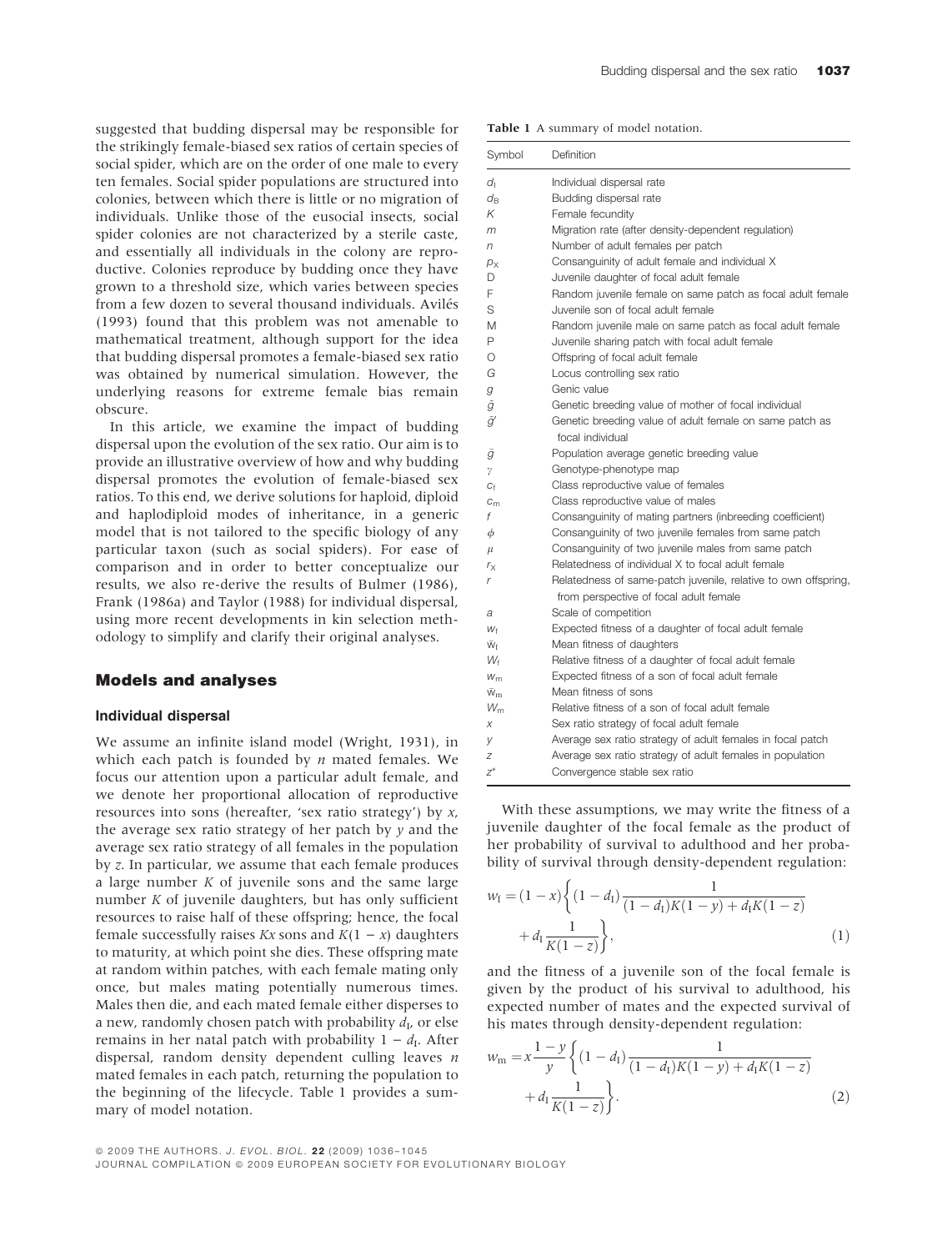suggested that budding dispersal may be responsible for the strikingly female-biased sex ratios of certain species of social spider, which are on the order of one male to every ten females. Social spider populations are structured into colonies, between which there is little or no migration of individuals. Unlike those of the eusocial insects, social spider colonies are not characterized by a sterile caste, and essentially all individuals in the colony are reproductive. Colonies reproduce by budding once they have grown to a threshold size, which varies between species from a few dozen to several thousand individuals. Avilés (1993) found that this problem was not amenable to mathematical treatment, although support for the idea that budding dispersal promotes a female-biased sex ratio was obtained by numerical simulation. However, the underlying reasons for extreme female bias remain obscure.

In this article, we examine the impact of budding dispersal upon the evolution of the sex ratio. Our aim is to provide an illustrative overview of how and why budding dispersal promotes the evolution of female-biased sex ratios. To this end, we derive solutions for haploid, diploid and haplodiploid modes of inheritance, in a generic model that is not tailored to the specific biology of any particular taxon (such as social spiders). For ease of comparison and in order to better conceptualize our results, we also re-derive the results of Bulmer (1986), Frank (1986a) and Taylor (1988) for individual dispersal, using more recent developments in kin selection methodology to simplify and clarify their original analyses.

## Models and analyses

#### Individual dispersal

We assume an infinite island model (Wright, 1931), in which each patch is founded by  $n$  mated females. We focus our attention upon a particular adult female, and we denote her proportional allocation of reproductive resources into sons (hereafter, 'sex ratio strategy') by x, the average sex ratio strategy of her patch by  $y$  and the average sex ratio strategy of all females in the population by z. In particular, we assume that each female produces a large number  $K$  of juvenile sons and the same large number  $K$  of juvenile daughters, but has only sufficient resources to raise half of these offspring; hence, the focal female successfully raises  $Kx$  sons and  $K(1 - x)$  daughters to maturity, at which point she dies. These offspring mate at random within patches, with each female mating only once, but males mating potentially numerous times. Males then die, and each mated female either disperses to a new, randomly chosen patch with probability  $d<sub>I</sub>$ , or else remains in her natal patch with probability  $1 - d<sub>I</sub>$ . After dispersal, random density dependent culling leaves  $n$ mated females in each patch, returning the population to the beginning of the lifecycle. Table 1 provides a summary of model notation.

Table 1 A summary of model notation.

| Symbol           | Definition                                                                                               |
|------------------|----------------------------------------------------------------------------------------------------------|
| dı               | Individual dispersal rate                                                                                |
| $d_{\mathsf{R}}$ | Budding dispersal rate                                                                                   |
| Κ                | Female fecundity                                                                                         |
| m                | Migration rate (after density-dependent regulation)                                                      |
| n                | Number of adult females per patch                                                                        |
| $p_{\rm X}$      | Consanguinity of adult female and individual X                                                           |
| D                | Juvenile daughter of focal adult female                                                                  |
| F                | Random juvenile female on same patch as focal adult female                                               |
| S                | Juvenile son of focal adult female                                                                       |
| M                | Random juvenile male on same patch as focal adult female                                                 |
| P                | Juvenile sharing patch with focal adult female                                                           |
| O                | Offspring of focal adult female                                                                          |
| G                | Locus controlling sex ratio                                                                              |
| g                | Genic value                                                                                              |
| ĝ                | Genetic breeding value of mother of focal individual                                                     |
| ã                | Genetic breeding value of adult female on same patch as<br>focal individual                              |
| ğ                | Population average genetic breeding value                                                                |
| γ                | Genotype-phenotype map                                                                                   |
| $C_{\rm f}$      | Class reproductive value of females                                                                      |
| $c_{\rm m}$      | Class reproductive value of males                                                                        |
| f                | Consanguinity of mating partners (inbreeding coefficient)                                                |
| φ                | Consanguinity of two juvenile females from same patch                                                    |
| $\mu$            | Consanguinity of two juvenile males from same patch                                                      |
| $r_{\times}$     | Relatedness of individual X to focal adult female                                                        |
| r                | Relatedness of same-patch juvenile, relative to own offspring,<br>from perspective of focal adult female |
| a                | Scale of competition                                                                                     |
| $W_{f}$          | Expected fitness of a daughter of focal adult female                                                     |
| Ŵf               | Mean fitness of daughters                                                                                |
| $W_{f}$          | Relative fitness of a daughter of focal adult female                                                     |
| $W_{m}$          | Expected fitness of a son of focal adult female                                                          |
| $\bar{W}_m$      | Mean fitness of sons                                                                                     |
| $W_{\rm m}$      | Relative fitness of a son of focal adult female                                                          |
| X                | Sex ratio strategy of focal adult female                                                                 |
| y                | Average sex ratio strategy of adult females in focal patch                                               |
| Z                | Average sex ratio strategy of adult females in population                                                |
| $7^*$            | Convergence stable sex ratio                                                                             |

With these assumptions, we may write the fitness of a juvenile daughter of the focal female as the product of her probability of survival to adulthood and her probability of survival through density-dependent regulation:

$$
w_{f} = (1 - x) \left\{ (1 - d_{1}) \frac{1}{(1 - d_{1})K(1 - y) + d_{1}K(1 - z)} + d_{1} \frac{1}{K(1 - z)} \right\},
$$
\n(1)

and the fitness of a juvenile son of the focal female is given by the product of his survival to adulthood, his expected number of mates and the expected survival of his mates through density-dependent regulation:

$$
w_{\rm m} = x \frac{1 - y}{y} \left\{ (1 - d_{\rm I}) \frac{1}{(1 - d_{\rm I}) K (1 - y) + d_{\rm I} K (1 - z)} + d_{\rm I} \frac{1}{K (1 - z)} \right\}.
$$
\n(2)

© 2009 THE AUTHORS. J. EVOL. BIOL. 22 (2009) 1036-1045

JOURNAL COMPILATION © 2009 EUROPEAN SOCIETY FOR EVOLUTIONARY BIOLOGY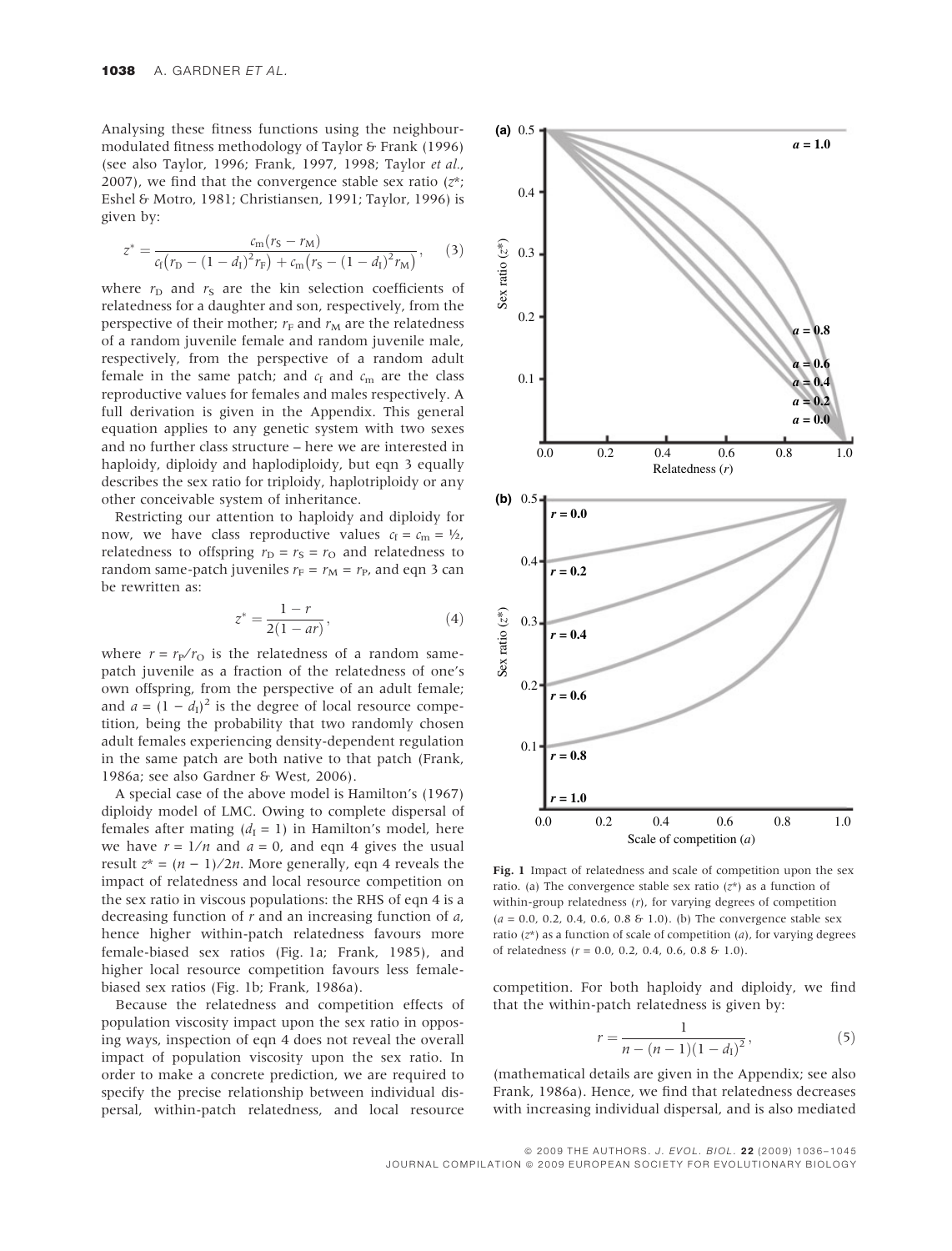Analysing these fitness functions using the neighbourmodulated fitness methodology of Taylor & Frank (1996) (see also Taylor, 1996; Frank, 1997, 1998; Taylor et al., 2007), we find that the convergence stable sex ratio  $(z^*; z^*)$ Eshel & Motro, 1981; Christiansen, 1991; Taylor, 1996) is given by:

$$
z^* = \frac{c_m(r_S - r_M)}{c_f(r_D - (1 - d_I)^2 r_F) + c_m(r_S - (1 - d_I)^2 r_M)},
$$
(3)

where  $r_D$  and  $r_S$  are the kin selection coefficients of relatedness for a daughter and son, respectively, from the perspective of their mother;  $r_F$  and  $r_M$  are the relatedness of a random juvenile female and random juvenile male, respectively, from the perspective of a random adult female in the same patch; and  $c_f$  and  $c_m$  are the class reproductive values for females and males respectively. A full derivation is given in the Appendix. This general equation applies to any genetic system with two sexes and no further class structure – here we are interested in haploidy, diploidy and haplodiploidy, but eqn 3 equally describes the sex ratio for triploidy, haplotriploidy or any other conceivable system of inheritance.

Restricting our attention to haploidy and diploidy for now, we have class reproductive values  $c_f = c_m = \frac{1}{2}$ , relatedness to offspring  $r_D = r_S = r_O$  and relatedness to random same-patch juveniles  $r_F = r_M = r_P$ , and eqn 3 can be rewritten as:

$$
z^* = \frac{1 - r}{2(1 - ar)},
$$
\n(4)

where  $r = r_{\rm P}/r_{\rm O}$  is the relatedness of a random samepatch juvenile as a fraction of the relatedness of one's own offspring, from the perspective of an adult female; and  $a = (1 - d_I)^2$  is the degree of local resource competition, being the probability that two randomly chosen adult females experiencing density-dependent regulation in the same patch are both native to that patch (Frank, 1986a; see also Gardner & West, 2006).

A special case of the above model is Hamilton's (1967) diploidy model of LMC. Owing to complete dispersal of females after mating  $(d<sub>I</sub> = 1)$  in Hamilton's model, here we have  $r = 1/n$  and  $a = 0$ , and eqn 4 gives the usual result  $z^*=(n-1)/2n$ . More generally, eqn 4 reveals the impact of relatedness and local resource competition on the sex ratio in viscous populations: the RHS of eqn 4 is a decreasing function of  $r$  and an increasing function of  $a$ , hence higher within-patch relatedness favours more female-biased sex ratios (Fig. 1a; Frank, 1985), and higher local resource competition favours less femalebiased sex ratios (Fig. 1b; Frank, 1986a).

Because the relatedness and competition effects of population viscosity impact upon the sex ratio in opposing ways, inspection of eqn 4 does not reveal the overall impact of population viscosity upon the sex ratio. In order to make a concrete prediction, we are required to specify the precise relationship between individual dispersal, within-patch relatedness, and local resource



Fig. 1 Impact of relatedness and scale of competition upon the sex ratio. (a) The convergence stable sex ratio  $(z^*)$  as a function of within-group relatedness  $(r)$ , for varying degrees of competition  $(a = 0.0, 0.2, 0.4, 0.6, 0.8 \& 1.0)$ . (b) The convergence stable sex ratio  $(z^*)$  as a function of scale of competition (*a*), for varying degrees of relatedness ( $r = 0.0, 0.2, 0.4, 0.6, 0.8 \& 1.0$ ).

competition. For both haploidy and diploidy, we find that the within-patch relatedness is given by:

$$
r = \frac{1}{n - (n - 1)(1 - d_1)^2},\tag{5}
$$

(mathematical details are given in the Appendix; see also Frank, 1986a). Hence, we find that relatedness decreases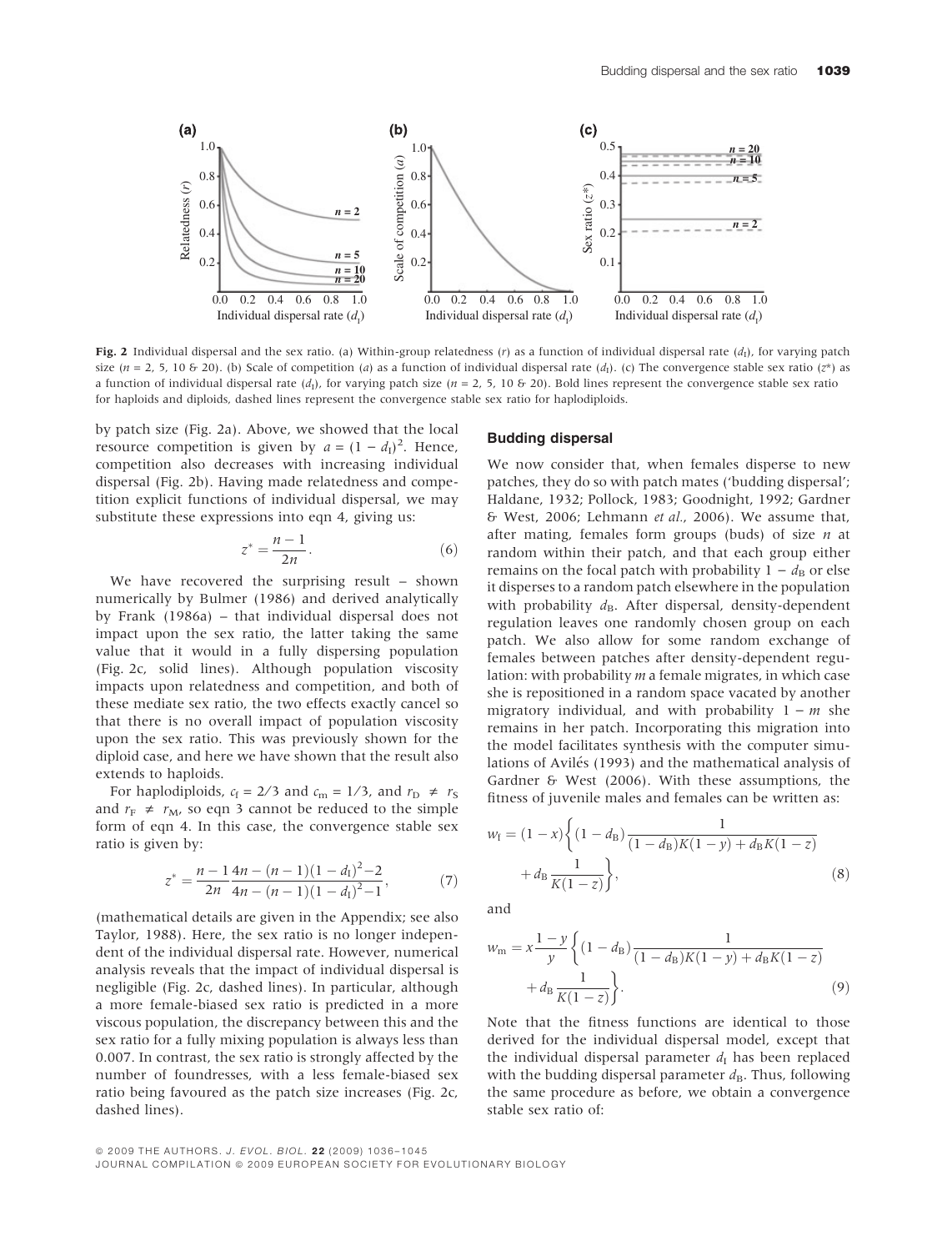

Fig. 2 Individual dispersal and the sex ratio. (a) Within-group relatedness (r) as a function of individual dispersal rate ( $d_1$ ), for varying patch size (n = 2, 5, 10 & 20). (b) Scale of competition (a) as a function of individual dispersal rate (d<sub>1</sub>). (c) The convergence stable sex ratio (z\*) as a function of individual dispersal rate  $(d<sub>1</sub>)$ , for varying patch size (n = 2, 5, 10 & 20). Bold lines represent the convergence stable sex ratio for haploids and diploids, dashed lines represent the convergence stable sex ratio for haplodiploids.

by patch size (Fig. 2a). Above, we showed that the local resource competition is given by  $a = (1 - d_I)^2$ . Hence, competition also decreases with increasing individual dispersal (Fig. 2b). Having made relatedness and competition explicit functions of individual dispersal, we may substitute these expressions into eqn 4, giving us:

$$
z^* = \frac{n-1}{2n}.\tag{6}
$$

We have recovered the surprising result – shown numerically by Bulmer (1986) and derived analytically by Frank (1986a) – that individual dispersal does not impact upon the sex ratio, the latter taking the same value that it would in a fully dispersing population (Fig. 2c, solid lines). Although population viscosity impacts upon relatedness and competition, and both of these mediate sex ratio, the two effects exactly cancel so that there is no overall impact of population viscosity upon the sex ratio. This was previously shown for the diploid case, and here we have shown that the result also extends to haploids.

For haplodiploids,  $c_f = 2/3$  and  $c_m = 1/3$ , and  $r_D \neq r_S$ and  $r_F \neq r_M$ , so eqn 3 cannot be reduced to the simple form of eqn 4. In this case, the convergence stable sex ratio is given by:

$$
z^* = \frac{n-1}{2n} \frac{4n - (n-1)(1 - d_1)^2 - 2}{4n - (n-1)(1 - d_1)^2 - 1},
$$
\n(7)

(mathematical details are given in the Appendix; see also Taylor, 1988). Here, the sex ratio is no longer independent of the individual dispersal rate. However, numerical analysis reveals that the impact of individual dispersal is negligible (Fig. 2c, dashed lines). In particular, although a more female-biased sex ratio is predicted in a more viscous population, the discrepancy between this and the sex ratio for a fully mixing population is always less than 0.007. In contrast, the sex ratio is strongly affected by the number of foundresses, with a less female-biased sex ratio being favoured as the patch size increases (Fig. 2c, dashed lines).

#### Budding dispersal

We now consider that, when females disperse to new patches, they do so with patch mates ('budding dispersal'; Haldane, 1932; Pollock, 1983; Goodnight, 1992; Gardner & West, 2006; Lehmann et al., 2006). We assume that, after mating, females form groups (buds) of size  $n$  at random within their patch, and that each group either remains on the focal patch with probability  $1 - d_{\text{B}}$  or else it disperses to a random patch elsewhere in the population with probability  $d_{\text{B}}$ . After dispersal, density-dependent regulation leaves one randomly chosen group on each patch. We also allow for some random exchange of females between patches after density-dependent regulation: with probability  $m$  a female migrates, in which case she is repositioned in a random space vacated by another migratory individual, and with probability  $1 - m$  she remains in her patch. Incorporating this migration into the model facilitates synthesis with the computer simulations of Avilés (1993) and the mathematical analysis of Gardner & West (2006). With these assumptions, the fitness of juvenile males and females can be written as:

$$
w_{f} = (1 - x) \left\{ (1 - d_{B}) \frac{1}{(1 - d_{B})K(1 - y) + d_{B}K(1 - z)} + d_{B} \frac{1}{K(1 - z)} \right\},
$$
\n(8)

and

$$
w_{\rm m} = x \frac{1 - y}{y} \left\{ (1 - d_{\rm B}) \frac{1}{(1 - d_{\rm B}) K (1 - y) + d_{\rm B} K (1 - z)} + d_{\rm B} \frac{1}{K (1 - z)} \right\}.
$$
\n(9)

Note that the fitness functions are identical to those derived for the individual dispersal model, except that the individual dispersal parameter  $d<sub>I</sub>$  has been replaced with the budding dispersal parameter  $d_{\rm B}$ . Thus, following the same procedure as before, we obtain a convergence stable sex ratio of:

© 2009 THE AUTHORS. J. EVOL. BIOL. 22 (2009) 1036-1045

JOURNAL COMPILATION © 2009 EUROPEAN SOCIETY FOR EVOLUTIONARY BIOLOGY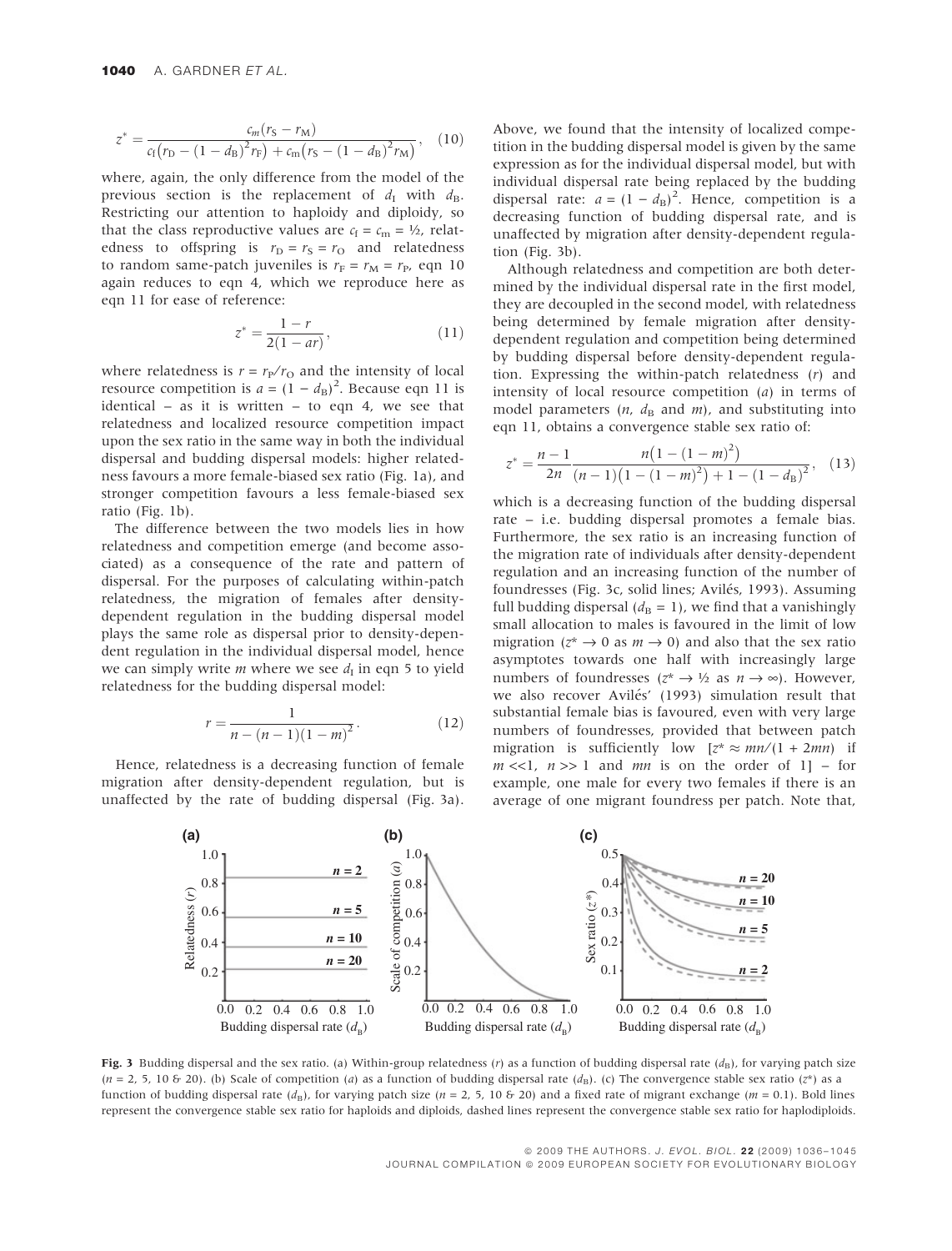$$
z^* = \frac{c_m (r_S - r_M)}{c_f (r_D - (1 - d_B)^2 r_F) + c_m (r_S - (1 - d_B)^2 r_M)},
$$
 (10)

where, again, the only difference from the model of the previous section is the replacement of  $d_I$  with  $d_B$ . Restricting our attention to haploidy and diploidy, so that the class reproductive values are  $c_f = c_m = \frac{1}{2}$ , relatedness to offspring is  $r_D = r_S = r_O$  and relatedness to random same-patch juveniles is  $r_F = r_M = r_P$ , eqn 10 again reduces to eqn 4, which we reproduce here as eqn 11 for ease of reference:

$$
z^* = \frac{1 - r}{2(1 - ar)},
$$
\n(11)

where relatedness is  $r = r<sub>P</sub>/r<sub>O</sub>$  and the intensity of local resource competition is  $a = (1 - d_{\text{B}})^2$ . Because eqn 11 is identical  $-$  as it is written  $-$  to eqn 4, we see that relatedness and localized resource competition impact upon the sex ratio in the same way in both the individual dispersal and budding dispersal models: higher relatedness favours a more female-biased sex ratio (Fig. 1a), and stronger competition favours a less female-biased sex ratio (Fig. 1b).

The difference between the two models lies in how relatedness and competition emerge (and become associated) as a consequence of the rate and pattern of dispersal. For the purposes of calculating within-patch relatedness, the migration of females after densitydependent regulation in the budding dispersal model plays the same role as dispersal prior to density-dependent regulation in the individual dispersal model, hence we can simply write *m* where we see  $d<sub>I</sub>$  in eqn 5 to yield relatedness for the budding dispersal model:

$$
r = \frac{1}{n - (n - 1)(1 - m)^2}.
$$
 (12)

Hence, relatedness is a decreasing function of female migration after density-dependent regulation, but is unaffected by the rate of budding dispersal (Fig. 3a). Above, we found that the intensity of localized competition in the budding dispersal model is given by the same expression as for the individual dispersal model, but with individual dispersal rate being replaced by the budding dispersal rate:  $a = (1 - d_{\text{B}})^2$ . Hence, competition is a decreasing function of budding dispersal rate, and is unaffected by migration after density-dependent regulation (Fig. 3b).

Although relatedness and competition are both determined by the individual dispersal rate in the first model, they are decoupled in the second model, with relatedness being determined by female migration after densitydependent regulation and competition being determined by budding dispersal before density-dependent regulation. Expressing the within-patch relatedness (r) and intensity of local resource competition  $(a)$  in terms of model parameters  $(n, d_B \text{ and } m)$ , and substituting into eqn 11, obtains a convergence stable sex ratio of:

$$
z^* = \frac{n-1}{2n} \frac{n(1-(1-m)^2)}{(n-1)(1-(1-m)^2)+1-(1-d_{\rm B})^2},
$$
 (13)

which is a decreasing function of the budding dispersal rate – i.e. budding dispersal promotes a female bias. Furthermore, the sex ratio is an increasing function of the migration rate of individuals after density-dependent regulation and an increasing function of the number of foundresses (Fig. 3c, solid lines; Avilés, 1993). Assuming full budding dispersal ( $d_B = 1$ ), we find that a vanishingly small allocation to males is favoured in the limit of low migration ( $z^* \rightarrow 0$  as  $m \rightarrow 0$ ) and also that the sex ratio asymptotes towards one half with increasingly large numbers of foundresses  $(z^* \rightarrow \frac{1}{2}$  as  $n \rightarrow \infty)$ . However, we also recover Avilés' (1993) simulation result that substantial female bias is favoured, even with very large numbers of foundresses, provided that between patch migration is sufficiently low  $[z^* \approx mn/(1 + 2mn)]$  if  $m \ll 1$ ,  $n \gg 1$  and  $mn$  is on the order of  $1$ ] – for example, one male for every two females if there is an average of one migrant foundress per patch. Note that,



Fig. 3 Budding dispersal and the sex ratio. (a) Within-group relatedness (r) as a function of budding dispersal rate  $(d_B)$ , for varying patch size  $(n = 2, 5, 10 \& 20)$ . (b) Scale of competition (a) as a function of budding dispersal rate (d<sub>B</sub>). (c) The convergence stable sex ratio (z\*) as a function of budding dispersal rate  $(d_B)$ , for varying patch size (n = 2, 5, 10 & 20) and a fixed rate of migrant exchange (m = 0.1). Bold lines represent the convergence stable sex ratio for haploids and diploids, dashed lines represent the convergence stable sex ratio for haplodiploids.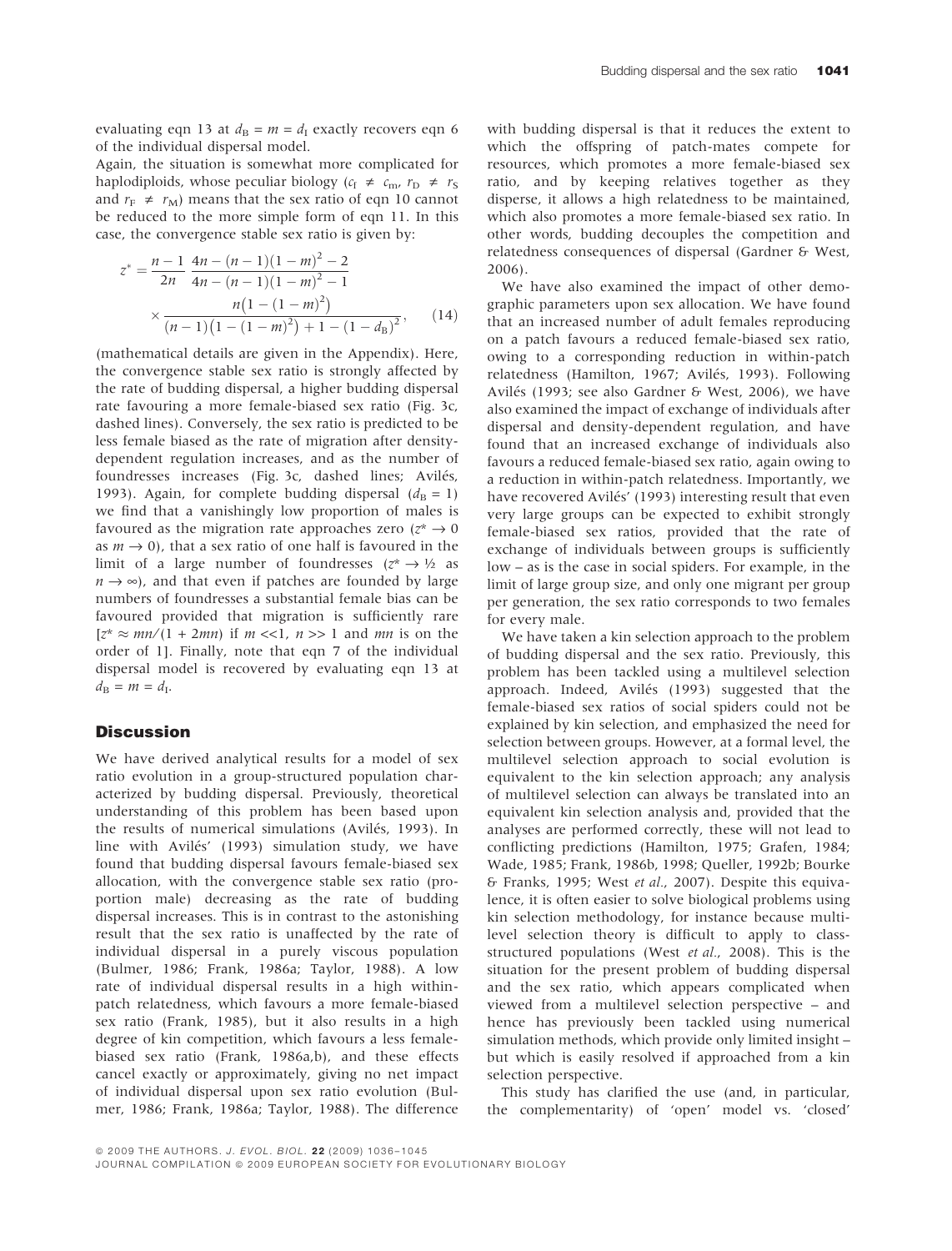evaluating eqn 13 at  $d_B = m = d_I$  exactly recovers eqn 6 of the individual dispersal model.

Again, the situation is somewhat more complicated for haplodiploids, whose peculiar biology ( $c_f \neq c_m$ ,  $r_D \neq r_S$ and  $r_F \neq r_M$ ) means that the sex ratio of eqn 10 cannot be reduced to the more simple form of eqn 11. In this case, the convergence stable sex ratio is given by:

$$
z^* = \frac{n-1}{2n} \frac{4n - (n-1)(1-m)^2 - 2}{4n - (n-1)(1-m)^2 - 1}
$$

$$
\times \frac{n(1 - (1-m)^2)}{(n-1)(1 - (1-m)^2) + 1 - (1-d_B)^2}, \qquad (14)
$$

(mathematical details are given in the Appendix). Here, the convergence stable sex ratio is strongly affected by the rate of budding dispersal, a higher budding dispersal rate favouring a more female-biased sex ratio (Fig. 3c, dashed lines). Conversely, the sex ratio is predicted to be less female biased as the rate of migration after densitydependent regulation increases, and as the number of foundresses increases (Fig. 3c, dashed lines; Avilés, 1993). Again, for complete budding dispersal  $(d_B = 1)$ we find that a vanishingly low proportion of males is favoured as the migration rate approaches zero ( $z^* \rightarrow 0$ as  $m \to 0$ ), that a sex ratio of one half is favoured in the limit of a large number of foundresses  $(z^* \rightarrow \frac{1}{2}$  as  $n \rightarrow \infty$ ), and that even if patches are founded by large numbers of foundresses a substantial female bias can be favoured provided that migration is sufficiently rare  $[z^* \approx mn/(1 + 2mn)$  if  $m \ll 1$ ,  $n >> 1$  and mn is on the order of 1]. Finally, note that eqn 7 of the individual dispersal model is recovered by evaluating eqn 13 at  $d_{\text{B}} = m = d_{\text{I}}$ .

# **Discussion**

We have derived analytical results for a model of sex ratio evolution in a group-structured population characterized by budding dispersal. Previously, theoretical understanding of this problem has been based upon the results of numerical simulations (Avilés, 1993). In line with Avilés' (1993) simulation study, we have found that budding dispersal favours female-biased sex allocation, with the convergence stable sex ratio (proportion male) decreasing as the rate of budding dispersal increases. This is in contrast to the astonishing result that the sex ratio is unaffected by the rate of individual dispersal in a purely viscous population (Bulmer, 1986; Frank, 1986a; Taylor, 1988). A low rate of individual dispersal results in a high withinpatch relatedness, which favours a more female-biased sex ratio (Frank, 1985), but it also results in a high degree of kin competition, which favours a less femalebiased sex ratio (Frank, 1986a,b), and these effects cancel exactly or approximately, giving no net impact of individual dispersal upon sex ratio evolution (Bulmer, 1986; Frank, 1986a; Taylor, 1988). The difference with budding dispersal is that it reduces the extent to which the offspring of patch-mates compete for resources, which promotes a more female-biased sex ratio, and by keeping relatives together as they disperse, it allows a high relatedness to be maintained, which also promotes a more female-biased sex ratio. In other words, budding decouples the competition and relatedness consequences of dispersal (Gardner & West, 2006).

We have also examined the impact of other demographic parameters upon sex allocation. We have found that an increased number of adult females reproducing on a patch favours a reduced female-biased sex ratio, owing to a corresponding reduction in within-patch relatedness (Hamilton, 1967; Avilés, 1993). Following Avilés (1993; see also Gardner & West, 2006), we have also examined the impact of exchange of individuals after dispersal and density-dependent regulation, and have found that an increased exchange of individuals also favours a reduced female-biased sex ratio, again owing to a reduction in within-patch relatedness. Importantly, we have recovered Avilés' (1993) interesting result that even very large groups can be expected to exhibit strongly female-biased sex ratios, provided that the rate of exchange of individuals between groups is sufficiently low – as is the case in social spiders. For example, in the limit of large group size, and only one migrant per group per generation, the sex ratio corresponds to two females for every male.

We have taken a kin selection approach to the problem of budding dispersal and the sex ratio. Previously, this problem has been tackled using a multilevel selection approach. Indeed, Avilés (1993) suggested that the female-biased sex ratios of social spiders could not be explained by kin selection, and emphasized the need for selection between groups. However, at a formal level, the multilevel selection approach to social evolution is equivalent to the kin selection approach; any analysis of multilevel selection can always be translated into an equivalent kin selection analysis and, provided that the analyses are performed correctly, these will not lead to conflicting predictions (Hamilton, 1975; Grafen, 1984; Wade, 1985; Frank, 1986b, 1998; Queller, 1992b; Bourke & Franks, 1995; West et al., 2007). Despite this equivalence, it is often easier to solve biological problems using kin selection methodology, for instance because multilevel selection theory is difficult to apply to classstructured populations (West et al., 2008). This is the situation for the present problem of budding dispersal and the sex ratio, which appears complicated when viewed from a multilevel selection perspective – and hence has previously been tackled using numerical simulation methods, which provide only limited insight – but which is easily resolved if approached from a kin selection perspective.

This study has clarified the use (and, in particular, the complementarity) of 'open' model vs. 'closed'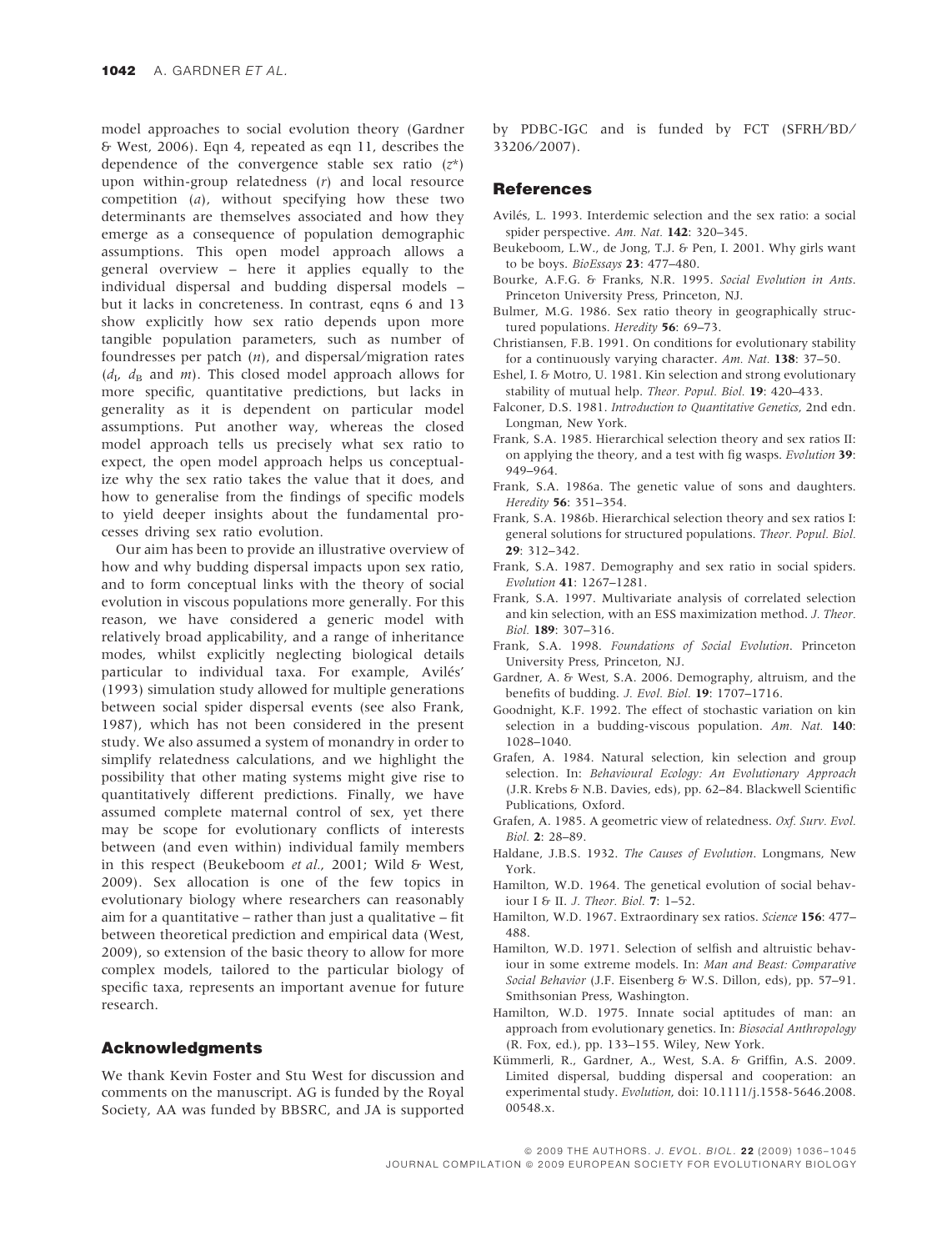model approaches to social evolution theory (Gardner & West, 2006). Eqn 4, repeated as eqn 11, describes the dependence of the convergence stable sex ratio  $(z^*)$ upon within-group relatedness (r) and local resource competition (a), without specifying how these two determinants are themselves associated and how they emerge as a consequence of population demographic assumptions. This open model approach allows a general overview – here it applies equally to the individual dispersal and budding dispersal models – but it lacks in concreteness. In contrast, eqns 6 and 13 show explicitly how sex ratio depends upon more tangible population parameters, such as number of foundresses per patch  $(n)$ , and dispersal/migration rates  $(d_{\rm I}, d_{\rm B}$  and *m*). This closed model approach allows for more specific, quantitative predictions, but lacks in generality as it is dependent on particular model assumptions. Put another way, whereas the closed model approach tells us precisely what sex ratio to expect, the open model approach helps us conceptualize why the sex ratio takes the value that it does, and how to generalise from the findings of specific models to yield deeper insights about the fundamental processes driving sex ratio evolution.

Our aim has been to provide an illustrative overview of how and why budding dispersal impacts upon sex ratio, and to form conceptual links with the theory of social evolution in viscous populations more generally. For this reason, we have considered a generic model with relatively broad applicability, and a range of inheritance modes, whilst explicitly neglecting biological details particular to individual taxa. For example, Avilés' (1993) simulation study allowed for multiple generations between social spider dispersal events (see also Frank, 1987), which has not been considered in the present study. We also assumed a system of monandry in order to simplify relatedness calculations, and we highlight the possibility that other mating systems might give rise to quantitatively different predictions. Finally, we have assumed complete maternal control of sex, yet there may be scope for evolutionary conflicts of interests between (and even within) individual family members in this respect (Beukeboom et al., 2001; Wild & West, 2009). Sex allocation is one of the few topics in evolutionary biology where researchers can reasonably aim for a quantitative – rather than just a qualitative – fit between theoretical prediction and empirical data (West, 2009), so extension of the basic theory to allow for more complex models, tailored to the particular biology of specific taxa, represents an important avenue for future research.

# Acknowledgments

We thank Kevin Foster and Stu West for discussion and comments on the manuscript. AG is funded by the Royal Society, AA was funded by BBSRC, and JA is supported by PDBC-IGC and is funded by FCT (SFRH/BD/ 33206 ⁄ 2007).

# References

- Avilés, L. 1993. Interdemic selection and the sex ratio: a social spider perspective. Am. Nat. 142: 320-345.
- Beukeboom, L.W., de Jong, T.J. & Pen, I. 2001. Why girls want to be boys. BioEssays 23: 477–480.
- Bourke, A.F.G. & Franks, N.R. 1995. Social Evolution in Ants. Princeton University Press, Princeton, NJ.
- Bulmer, M.G. 1986. Sex ratio theory in geographically structured populations. Heredity 56: 69-73.
- Christiansen, F.B. 1991. On conditions for evolutionary stability for a continuously varying character. Am. Nat. 138: 37–50.
- Eshel, I. & Motro, U. 1981. Kin selection and strong evolutionary stability of mutual help. Theor. Popul. Biol. 19: 420-433.
- Falconer, D.S. 1981. Introduction to Quantitative Genetics, 2nd edn. Longman, New York.
- Frank, S.A. 1985. Hierarchical selection theory and sex ratios II: on applying the theory, and a test with fig wasps. Evolution 39: 949–964.
- Frank, S.A. 1986a. The genetic value of sons and daughters. Heredity 56: 351–354.
- Frank, S.A. 1986b. Hierarchical selection theory and sex ratios I: general solutions for structured populations. Theor. Popul. Biol.  $29.312 - 342$
- Frank, S.A. 1987. Demography and sex ratio in social spiders. Evolution 41: 1267–1281.
- Frank, S.A. 1997. Multivariate analysis of correlated selection and kin selection, with an ESS maximization method. J. Theor. Biol. 189: 307–316.
- Frank, S.A. 1998. Foundations of Social Evolution. Princeton University Press, Princeton, NJ.
- Gardner, A. & West, S.A. 2006. Demography, altruism, and the benefits of budding. J. Evol. Biol. 19: 1707–1716.
- Goodnight, K.F. 1992. The effect of stochastic variation on kin selection in a budding-viscous population. Am. Nat. 140: 1028–1040.
- Grafen, A. 1984. Natural selection, kin selection and group selection. In: Behavioural Ecology: An Evolutionary Approach (J.R. Krebs & N.B. Davies, eds), pp. 62–84. Blackwell Scientific Publications, Oxford.
- Grafen, A. 1985. A geometric view of relatedness. Oxf. Surv. Evol. Biol. 2: 28–89.
- Haldane, J.B.S. 1932. The Causes of Evolution. Longmans, New York.
- Hamilton, W.D. 1964. The genetical evolution of social behaviour I & II. J. Theor. Biol. 7: 1–52.
- Hamilton, W.D. 1967. Extraordinary sex ratios. Science 156: 477-488.
- Hamilton, W.D. 1971. Selection of selfish and altruistic behaviour in some extreme models. In: Man and Beast: Comparative Social Behavior (J.F. Eisenberg & W.S. Dillon, eds), pp. 57–91. Smithsonian Press, Washington.
- Hamilton, W.D. 1975. Innate social aptitudes of man: an approach from evolutionary genetics. In: Biosocial Anthropology (R. Fox, ed.), pp. 133–155. Wiley, New York.
- Kümmerli, R., Gardner, A., West, S.A. & Griffin, A.S. 2009. Limited dispersal, budding dispersal and cooperation: an experimental study. Evolution, doi: 10.1111/j.1558-5646.2008. 00548.x.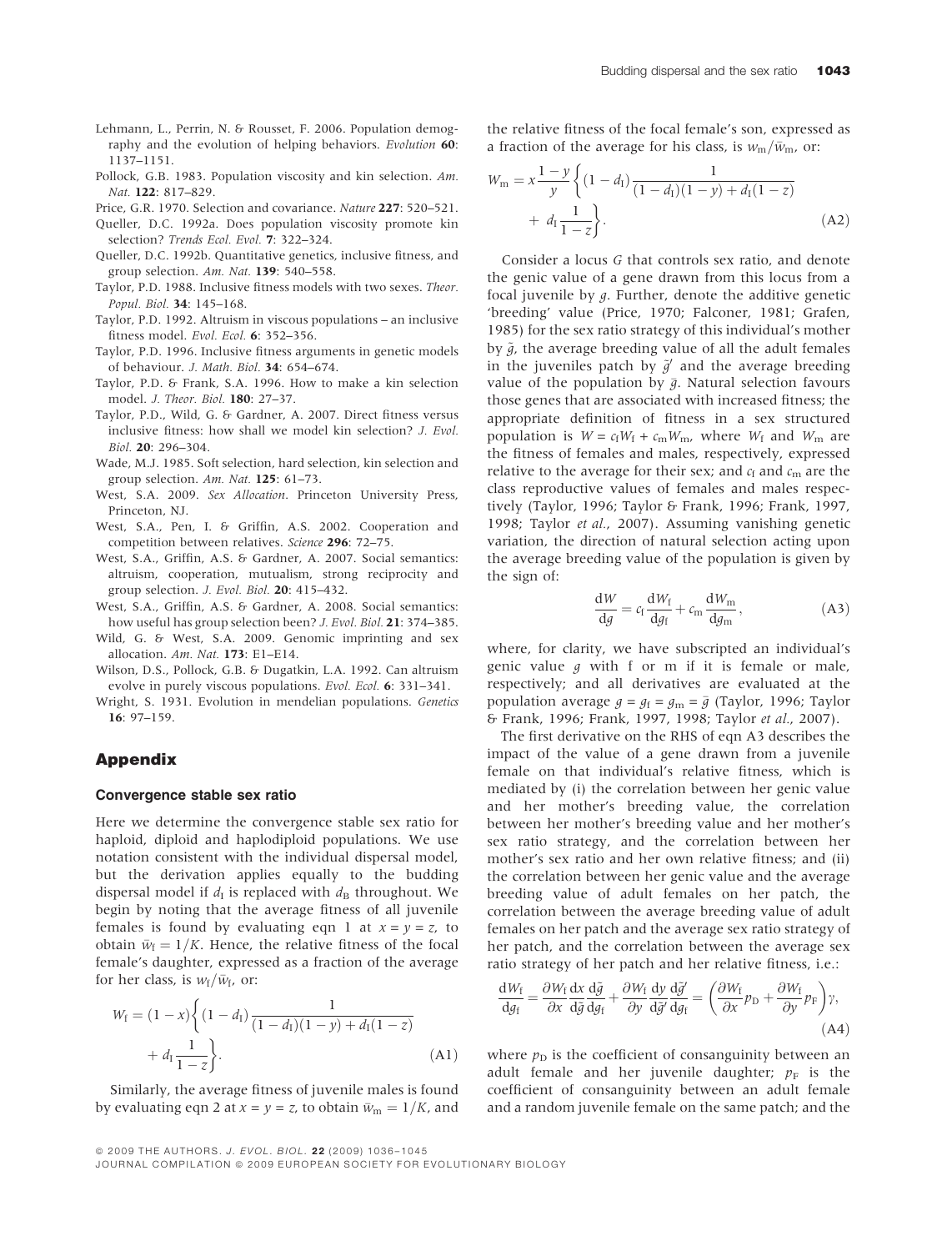- Lehmann, L., Perrin, N. & Rousset, F. 2006. Population demography and the evolution of helping behaviors. Evolution 60: 1137–1151.
- Pollock, G.B. 1983. Population viscosity and kin selection. Am. Nat. 122: 817–829.
- Price, G.R. 1970. Selection and covariance. Nature 227: 520–521.
- Queller, D.C. 1992a. Does population viscosity promote kin selection? Trends Ecol. Evol. 7: 322-324.
- Queller, D.C. 1992b. Quantitative genetics, inclusive fitness, and group selection. Am. Nat. 139: 540–558.
- Taylor, P.D. 1988. Inclusive fitness models with two sexes. Theor. Popul. Biol. 34: 145–168.
- Taylor, P.D. 1992. Altruism in viscous populations an inclusive fitness model. Evol. Ecol. 6: 352–356.
- Taylor, P.D. 1996. Inclusive fitness arguments in genetic models of behaviour. J. Math. Biol. 34: 654–674.
- Taylor, P.D. & Frank, S.A. 1996. How to make a kin selection model. J. Theor. Biol. 180: 27–37.
- Taylor, P.D., Wild, G. & Gardner, A. 2007. Direct fitness versus inclusive fitness: how shall we model kin selection? J. Evol. Biol. 20: 296–304.
- Wade, M.J. 1985. Soft selection, hard selection, kin selection and group selection. Am. Nat. 125: 61–73.
- West, S.A. 2009. Sex Allocation. Princeton University Press, Princeton, NJ.
- West, S.A., Pen, I. & Griffin, A.S. 2002. Cooperation and competition between relatives. Science 296: 72–75.
- West, S.A., Griffin, A.S. & Gardner, A. 2007. Social semantics: altruism, cooperation, mutualism, strong reciprocity and group selection. J. Evol. Biol. 20: 415–432.
- West, S.A., Griffin, A.S. & Gardner, A. 2008. Social semantics: how useful has group selection been? J. Evol. Biol. 21: 374–385.
- Wild, G. & West, S.A. 2009. Genomic imprinting and sex allocation. Am. Nat. 173: E1–E14.
- Wilson, D.S., Pollock, G.B. & Dugatkin, L.A. 1992. Can altruism evolve in purely viscous populations. Evol. Ecol. 6: 331-341.
- Wright, S. 1931. Evolution in mendelian populations. Genetics 16: 97–159.

### Appendix

#### Convergence stable sex ratio

Here we determine the convergence stable sex ratio for haploid, diploid and haplodiploid populations. We use notation consistent with the individual dispersal model, but the derivation applies equally to the budding dispersal model if  $d_I$  is replaced with  $d_B$  throughout. We begin by noting that the average fitness of all juvenile females is found by evaluating eqn 1 at  $x = y = z$ , to obtain  $\bar{w}_{\rm f} = 1/K$ . Hence, the relative fitness of the focal female's daughter, expressed as a fraction of the average for her class, is  $w_{\rm f}/\bar{w}_{\rm f}$ , or:

$$
W_{f} = (1 - x) \left\{ (1 - d_{I}) \frac{1}{(1 - d_{I})(1 - y) + d_{I}(1 - z)} + d_{I} \frac{1}{1 - z} \right\}.
$$
\n(A1)

Similarly, the average fitness of juvenile males is found by evaluating eqn 2 at  $x = y = z$ , to obtain  $\bar{w}_{\text{m}} = 1/K$ , and

the relative fitness of the focal female's son, expressed as a fraction of the average for his class, is  $w_{\text{m}}/\bar{w}_{\text{m}}$ , or:

$$
W_{\rm m} = x \frac{1 - y}{y} \left\{ (1 - d_{\rm I}) \frac{1}{(1 - d_{\rm I})(1 - y) + d_{\rm I}(1 - z)} + d_{\rm I} \frac{1}{1 - z} \right\}.
$$
\n(A2)

Consider a locus G that controls sex ratio, and denote the genic value of a gene drawn from this locus from a focal juvenile by g. Further, denote the additive genetic 'breeding' value (Price, 1970; Falconer, 1981; Grafen, 1985) for the sex ratio strategy of this individual's mother by  $\tilde{g}$ , the average breeding value of all the adult females in the juveniles patch by  $\tilde{g}$  and the average breeding value of the population by  $\bar{g}$ . Natural selection favours those genes that are associated with increased fitness; the appropriate definition of fitness in a sex structured population is  $W = c_f W_f + c_m W_m$ , where  $W_f$  and  $W_m$  are the fitness of females and males, respectively, expressed relative to the average for their sex; and  $c_f$  and  $c_m$  are the class reproductive values of females and males respectively (Taylor, 1996; Taylor & Frank, 1996; Frank, 1997, 1998; Taylor et al., 2007). Assuming vanishing genetic variation, the direction of natural selection acting upon the average breeding value of the population is given by the sign of:

$$
\frac{dW}{dg} = c_f \frac{dW_f}{dg_f} + c_m \frac{dW_m}{dg_m},
$$
 (A3)

where, for clarity, we have subscripted an individual's genic value  $g$  with  $f$  or  $m$  if it is female or male, respectively; and all derivatives are evaluated at the population average  $g = g_f = g_m = \bar{g}$  (Taylor, 1996; Taylor & Frank, 1996; Frank, 1997, 1998; Taylor et al., 2007).

The first derivative on the RHS of eqn A3 describes the impact of the value of a gene drawn from a juvenile female on that individual's relative fitness, which is mediated by (i) the correlation between her genic value and her mother's breeding value, the correlation between her mother's breeding value and her mother's sex ratio strategy, and the correlation between her mother's sex ratio and her own relative fitness; and (ii) the correlation between her genic value and the average breeding value of adult females on her patch, the correlation between the average breeding value of adult females on her patch and the average sex ratio strategy of her patch, and the correlation between the average sex ratio strategy of her patch and her relative fitness, i.e.:

$$
\frac{dW_f}{dg_f} = \frac{\partial W_f}{\partial x} \frac{dx}{d\tilde{g}} \frac{d\tilde{g}}{dg_f} + \frac{\partial W_f}{\partial y} \frac{dy}{d\tilde{g}'} \frac{d\tilde{g}'}{dg_f} = \left(\frac{\partial W_f}{\partial x} p_D + \frac{\partial W_f}{\partial y} p_F\right) \gamma,
$$
\n(A4)

where  $p<sub>D</sub>$  is the coefficient of consanguinity between an adult female and her juvenile daughter;  $p_F$  is the coefficient of consanguinity between an adult female and a random juvenile female on the same patch; and the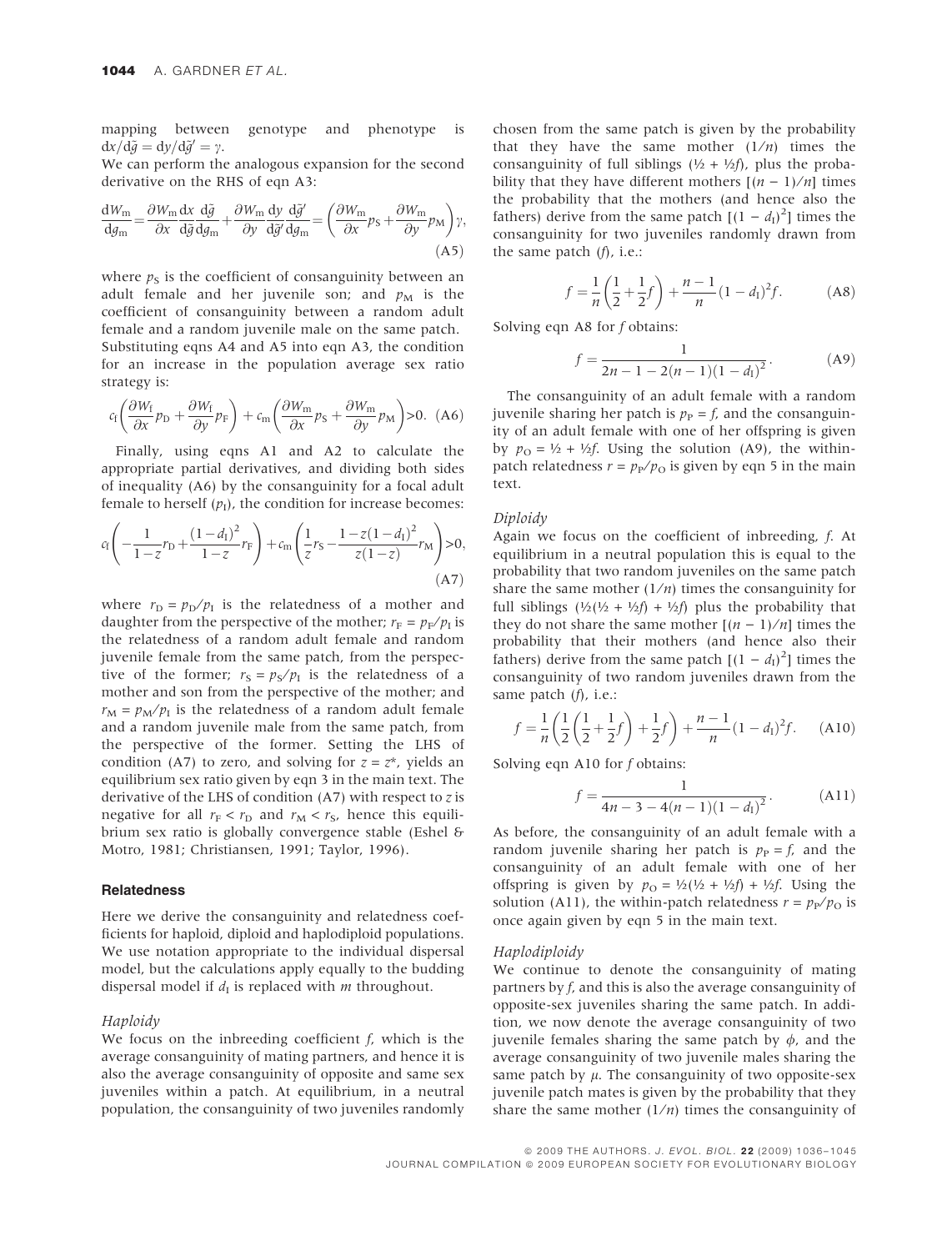mapping between genotype and phenotype is  $dx/d\tilde{q} = dy/d\tilde{q}' = \gamma$ .

We can perform the analogous expansion for the second derivative on the RHS of eqn A3:

$$
\frac{dW_m}{dg_m} = \frac{\partial W_m}{\partial x} \frac{dx}{d\tilde{g}} \frac{d\tilde{g}}{dg_m} + \frac{\partial W_m}{\partial y} \frac{dy}{d\tilde{g}'} \frac{d\tilde{g}'}{dg_m} = \left(\frac{\partial W_m}{\partial x} p_S + \frac{\partial W_m}{\partial y} p_M\right) \gamma,
$$
\n(A5)

where  $p<sub>S</sub>$  is the coefficient of consanguinity between an adult female and her juvenile son; and  $p_M$  is the coefficient of consanguinity between a random adult female and a random juvenile male on the same patch. Substituting eqns A4 and A5 into eqn A3, the condition for an increase in the population average sex ratio strategy is:

$$
c_{\rm f} \left( \frac{\partial W_{\rm f}}{\partial x} p_{\rm D} + \frac{\partial W_{\rm f}}{\partial y} p_{\rm F} \right) + c_{\rm m} \left( \frac{\partial W_{\rm m}}{\partial x} p_{\rm S} + \frac{\partial W_{\rm m}}{\partial y} p_{\rm M} \right) > 0. \tag{A6}
$$

Finally, using eqns A1 and A2 to calculate the appropriate partial derivatives, and dividing both sides of inequality (A6) by the consanguinity for a focal adult female to herself  $(p<sub>I</sub>)$ , the condition for increase becomes:

$$
c_{\rm f}\left(-\frac{1}{1-z}r_{\rm D}+\frac{(1-d_{\rm I})^2}{1-z}r_{\rm F}\right)+c_{\rm m}\left(\frac{1}{z}r_{\rm S}-\frac{1-z(1-d_{\rm I})^2}{z(1-z)}r_{\rm M}\right)>0,\tag{A7}
$$

where  $r_D = p_D / p_I$  is the relatedness of a mother and daughter from the perspective of the mother;  $r_F = p_F / p_I$  is the relatedness of a random adult female and random juvenile female from the same patch, from the perspective of the former;  $r_s = p_s / p_I$  is the relatedness of a mother and son from the perspective of the mother; and  $r_M = p_M / p_I$  is the relatedness of a random adult female and a random juvenile male from the same patch, from the perspective of the former. Setting the LHS of condition (A7) to zero, and solving for  $z = z^*$ , yields an equilibrium sex ratio given by eqn 3 in the main text. The derivative of the LHS of condition  $(A7)$  with respect to  $z$  is negative for all  $r_F < r_D$  and  $r_M < r_S$ , hence this equilibrium sex ratio is globally convergence stable (Eshel & Motro, 1981; Christiansen, 1991; Taylor, 1996).

### **Relatedness**

Here we derive the consanguinity and relatedness coefficients for haploid, diploid and haplodiploid populations. We use notation appropriate to the individual dispersal model, but the calculations apply equally to the budding dispersal model if  $d<sub>I</sub>$  is replaced with *m* throughout.

### Haploidy

We focus on the inbreeding coefficient  $f$ , which is the average consanguinity of mating partners, and hence it is also the average consanguinity of opposite and same sex juveniles within a patch. At equilibrium, in a neutral population, the consanguinity of two juveniles randomly chosen from the same patch is given by the probability that they have the same mother  $(1/n)$  times the consanguinity of full siblings  $(½ + ½f)$ , plus the probability that they have different mothers  $[(n-1)/n]$  times the probability that the mothers (and hence also the fathers) derive from the same patch  $[(1 - d_1)^2]$  times the consanguinity for two juveniles randomly drawn from the same patch  $(f)$ , i.e.:

$$
f = \frac{1}{n} \left( \frac{1}{2} + \frac{1}{2} f \right) + \frac{n-1}{n} (1 - d_1)^2 f.
$$
 (A8)

Solving eqn A8 for f obtains:

$$
f = \frac{1}{2n - 1 - 2(n - 1)(1 - d_1)^2}.
$$
 (A9)

The consanguinity of an adult female with a random juvenile sharing her patch is  $p_P = f$ , and the consanguinity of an adult female with one of her offspring is given by  $p_0 = \frac{1}{2} + \frac{1}{2}f$ . Using the solution (A9), the withinpatch relatedness  $r = p_P / p_O$  is given by eqn 5 in the main text.

### Diploidy

Again we focus on the coefficient of inbreeding, f. At equilibrium in a neutral population this is equal to the probability that two random juveniles on the same patch share the same mother  $(1/n)$  times the consanguinity for full siblings  $(\frac{1}{2}(\frac{1}{2} + \frac{1}{2}f) + \frac{1}{2}f)$  plus the probability that they do not share the same mother  $[(n - 1)/n]$  times the probability that their mothers (and hence also their fathers) derive from the same patch  $[(1 - d_1)^2]$  times the consanguinity of two random juveniles drawn from the same patch  $(f)$ , i.e.:

$$
f = \frac{1}{n} \left( \frac{1}{2} \left( \frac{1}{2} + \frac{1}{2} f \right) + \frac{1}{2} f \right) + \frac{n-1}{n} (1 - d_1)^2 f. \tag{A10}
$$

Solving eqn A10 for f obtains:

$$
f = \frac{1}{4n - 3 - 4(n - 1)(1 - d_1)^2}.
$$
 (A11)

As before, the consanguinity of an adult female with a random juvenile sharing her patch is  $p_P = f$ , and the consanguinity of an adult female with one of her offspring is given by  $p_{\text{O}} = \frac{1}{2}(\frac{1}{2} + \frac{1}{2}f) + \frac{1}{2}f$ . Using the solution (A11), the within-patch relatedness  $r = p_P / p_O$  is once again given by eqn 5 in the main text.

### Haplodiploidy

We continue to denote the consanguinity of mating partners by f, and this is also the average consanguinity of opposite-sex juveniles sharing the same patch. In addition, we now denote the average consanguinity of two juvenile females sharing the same patch by  $\phi$ , and the average consanguinity of two juvenile males sharing the same patch by  $\mu$ . The consanguinity of two opposite-sex juvenile patch mates is given by the probability that they share the same mother  $(1/n)$  times the consanguinity of